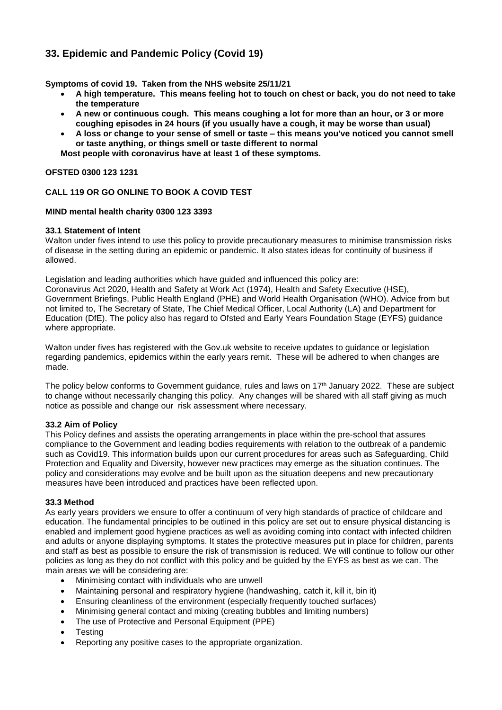# **33. Epidemic and Pandemic Policy (Covid 19)**

**Symptoms of covid 19. Taken from the NHS website 25/11/21**

- **A high temperature. This means feeling hot to touch on chest or back, you do not need to take the temperature**
- **A new or continuous cough. This means coughing a lot for more than an hour, or 3 or more coughing episodes in 24 hours (if you usually have a cough, it may be worse than usual)**
- A loss or change to your sense of smell or taste this means you've noticed you cannot smell **or taste anything, or things smell or taste different to normal**

**Most people with coronavirus have at least 1 of these symptoms.**

#### **OFSTED 0300 123 1231**

### **CALL 119 OR GO ONLINE TO BOOK A COVID TEST**

#### **MIND mental health charity 0300 123 3393**

#### **33.1 Statement of Intent**

Walton under fives intend to use this policy to provide precautionary measures to minimise transmission risks of disease in the setting during an epidemic or pandemic. It also states ideas for continuity of business if allowed.

Legislation and leading authorities which have guided and influenced this policy are: Coronavirus Act 2020, Health and Safety at Work Act (1974), Health and Safety Executive (HSE), Government Briefings, Public Health England (PHE) and World Health Organisation (WHO). Advice from but not limited to, The Secretary of State, The Chief Medical Officer, Local Authority (LA) and Department for Education (DfE). The policy also has regard to Ofsted and Early Years Foundation Stage (EYFS) guidance where appropriate.

Walton under fives has registered with the Gov.uk website to receive updates to guidance or legislation regarding pandemics, epidemics within the early years remit. These will be adhered to when changes are made.

The policy below conforms to Government guidance, rules and laws on 17th January 2022. These are subject to change without necessarily changing this policy. Any changes will be shared with all staff giving as much notice as possible and change our risk assessment where necessary.

#### **33.2 Aim of Policy**

This Policy defines and assists the operating arrangements in place within the pre-school that assures compliance to the Government and leading bodies requirements with relation to the outbreak of a pandemic such as Covid19. This information builds upon our current procedures for areas such as Safeguarding, Child Protection and Equality and Diversity, however new practices may emerge as the situation continues. The policy and considerations may evolve and be built upon as the situation deepens and new precautionary measures have been introduced and practices have been reflected upon.

#### **33.3 Method**

As early years providers we ensure to offer a continuum of very high standards of practice of childcare and education. The fundamental principles to be outlined in this policy are set out to ensure physical distancing is enabled and implement good hygiene practices as well as avoiding coming into contact with infected children and adults or anyone displaying symptoms. It states the protective measures put in place for children, parents and staff as best as possible to ensure the risk of transmission is reduced. We will continue to follow our other policies as long as they do not conflict with this policy and be guided by the EYFS as best as we can. The main areas we will be considering are:

- Minimising contact with individuals who are unwell
- Maintaining personal and respiratory hygiene (handwashing, catch it, kill it, bin it)
- Ensuring cleanliness of the environment (especially frequently touched surfaces)
- Minimising general contact and mixing (creating bubbles and limiting numbers)
- The use of Protective and Personal Equipment (PPE)
- **Testing**
- Reporting any positive cases to the appropriate organization.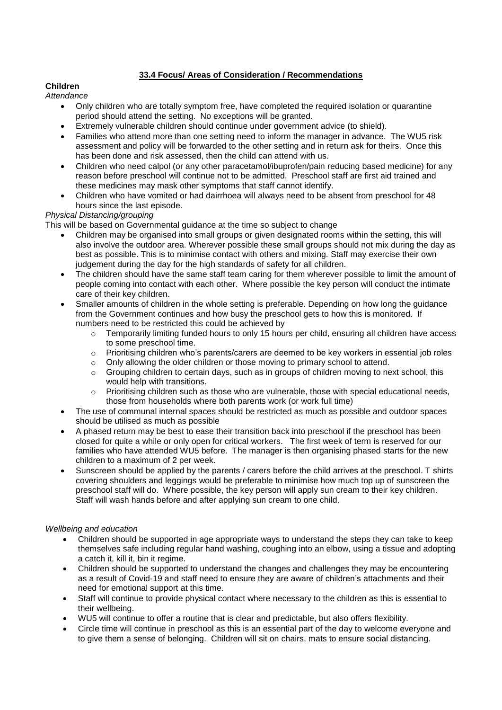## **33.4 Focus/ Areas of Consideration / Recommendations**

### **Children**

### *Attendance*

- Only children who are totally symptom free, have completed the required isolation or quarantine period should attend the setting. No exceptions will be granted.
- Extremely vulnerable children should continue under government advice (to shield).
- Families who attend more than one setting need to inform the manager in advance. The WU5 risk assessment and policy will be forwarded to the other setting and in return ask for theirs. Once this has been done and risk assessed, then the child can attend with us.
- Children who need calpol (or any other paracetamol/ibuprofen/pain reducing based medicine) for any reason before preschool will continue not to be admitted. Preschool staff are first aid trained and these medicines may mask other symptoms that staff cannot identify.
- Children who have vomited or had dairrhoea will always need to be absent from preschool for 48 hours since the last episode.

### *Physical Distancing/grouping*

This will be based on Governmental guidance at the time so subject to change

- Children may be organised into small groups or given designated rooms within the setting, this will also involve the outdoor area. Wherever possible these small groups should not mix during the day as best as possible. This is to minimise contact with others and mixing. Staff may exercise their own judgement during the day for the high standards of safety for all children.
- The children should have the same staff team caring for them wherever possible to limit the amount of people coming into contact with each other. Where possible the key person will conduct the intimate care of their key children.
- Smaller amounts of children in the whole setting is preferable. Depending on how long the guidance from the Government continues and how busy the preschool gets to how this is monitored. If numbers need to be restricted this could be achieved by
	- $\circ$  Temporarily limiting funded hours to only 15 hours per child, ensuring all children have access to some preschool time.
	- o Prioritising children who's parents/carers are deemed to be key workers in essential job roles
	- $\circ$  Only allowing the older children or those moving to primary school to attend.
	- $\circ$  Grouping children to certain days, such as in groups of children moving to next school, this would help with transitions.
	- o Prioritising children such as those who are vulnerable, those with special educational needs, those from households where both parents work (or work full time)
- The use of communal internal spaces should be restricted as much as possible and outdoor spaces should be utilised as much as possible
- A phased return may be best to ease their transition back into preschool if the preschool has been closed for quite a while or only open for critical workers. The first week of term is reserved for our families who have attended WU5 before. The manager is then organising phased starts for the new children to a maximum of 2 per week.
- Sunscreen should be applied by the parents / carers before the child arrives at the preschool. T shirts covering shoulders and leggings would be preferable to minimise how much top up of sunscreen the preschool staff will do. Where possible, the key person will apply sun cream to their key children. Staff will wash hands before and after applying sun cream to one child.

### *Wellbeing and education*

- Children should be supported in age appropriate ways to understand the steps they can take to keep themselves safe including regular hand washing, coughing into an elbow, using a tissue and adopting a catch it, kill it, bin it regime.
- Children should be supported to understand the changes and challenges they may be encountering as a result of Covid-19 and staff need to ensure they are aware of children's attachments and their need for emotional support at this time.
- Staff will continue to provide physical contact where necessary to the children as this is essential to their wellbeing.
- WU5 will continue to offer a routine that is clear and predictable, but also offers flexibility.
- Circle time will continue in preschool as this is an essential part of the day to welcome everyone and to give them a sense of belonging. Children will sit on chairs, mats to ensure social distancing.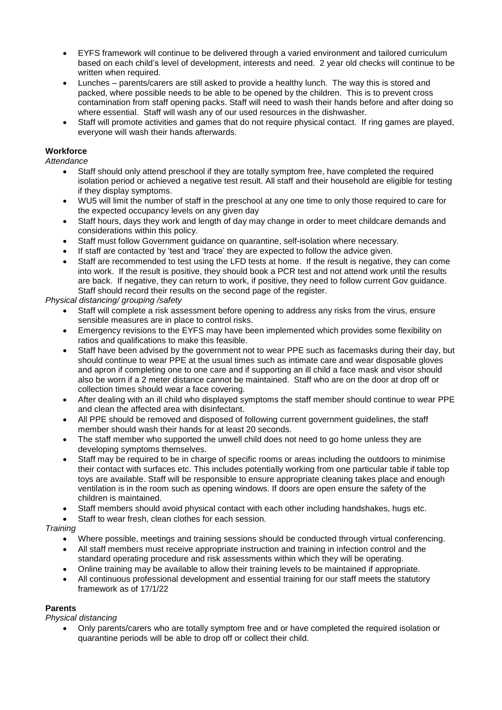- EYFS framework will continue to be delivered through a varied environment and tailored curriculum based on each child's level of development, interests and need. 2 year old checks will continue to be written when required.
- Lunches parents/carers are still asked to provide a healthy lunch. The way this is stored and packed, where possible needs to be able to be opened by the children. This is to prevent cross contamination from staff opening packs. Staff will need to wash their hands before and after doing so where essential. Staff will wash any of our used resources in the dishwasher.
- Staff will promote activities and games that do not require physical contact. If ring games are played, everyone will wash their hands afterwards.

### **Workforce**

*Attendance*

- Staff should only attend preschool if they are totally symptom free, have completed the required isolation period or achieved a negative test result. All staff and their household are eligible for testing if they display symptoms.
- WU5 will limit the number of staff in the preschool at any one time to only those required to care for the expected occupancy levels on any given day
- Staff hours, days they work and length of day may change in order to meet childcare demands and considerations within this policy.
- Staff must follow Government guidance on quarantine, self-isolation where necessary.
- If staff are contacted by 'test and 'trace' they are expected to follow the advice given.
- Staff are recommended to test using the LFD tests at home. If the result is negative, they can come into work. If the result is positive, they should book a PCR test and not attend work until the results are back. If negative, they can return to work, if positive, they need to follow current Gov guidance. Staff should record their results on the second page of the register.

*Physical distancing/ grouping /safety*

- Staff will complete a risk assessment before opening to address any risks from the virus, ensure sensible measures are in place to control risks.
- Emergency revisions to the EYFS may have been implemented which provides some flexibility on ratios and qualifications to make this feasible.
- Staff have been advised by the government not to wear PPE such as facemasks during their day, but should continue to wear PPE at the usual times such as intimate care and wear disposable gloves and apron if completing one to one care and if supporting an ill child a face mask and visor should also be worn if a 2 meter distance cannot be maintained. Staff who are on the door at drop off or collection times should wear a face covering.
- After dealing with an ill child who displayed symptoms the staff member should continue to wear PPE and clean the affected area with disinfectant.
- All PPE should be removed and disposed of following current government guidelines, the staff member should wash their hands for at least 20 seconds.
- The staff member who supported the unwell child does not need to go home unless they are developing symptoms themselves.
- Staff may be required to be in charge of specific rooms or areas including the outdoors to minimise their contact with surfaces etc. This includes potentially working from one particular table if table top toys are available. Staff will be responsible to ensure appropriate cleaning takes place and enough ventilation is in the room such as opening windows. If doors are open ensure the safety of the children is maintained.
- Staff members should avoid physical contact with each other including handshakes, hugs etc.
- Staff to wear fresh, clean clothes for each session.

### *Training*

- Where possible, meetings and training sessions should be conducted through virtual conferencing.
- All staff members must receive appropriate instruction and training in infection control and the standard operating procedure and risk assessments within which they will be operating.
- Online training may be available to allow their training levels to be maintained if appropriate.
- All continuous professional development and essential training for our staff meets the statutory framework as of 17/1/22

### **Parents**

*Physical distancing*

 Only parents/carers who are totally symptom free and or have completed the required isolation or quarantine periods will be able to drop off or collect their child.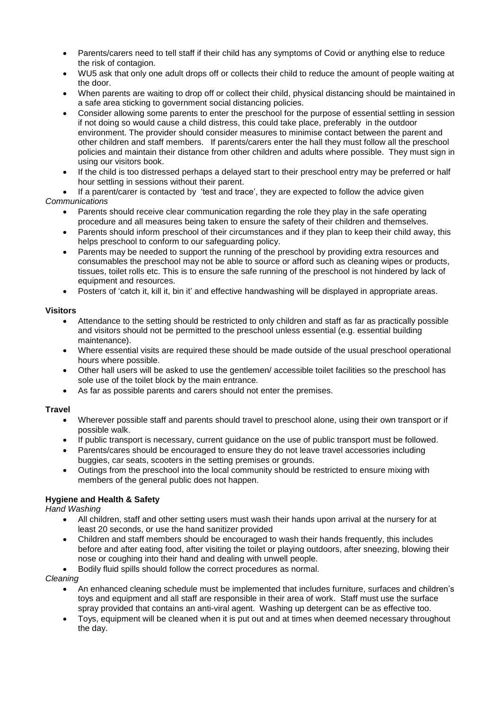- Parents/carers need to tell staff if their child has any symptoms of Covid or anything else to reduce the risk of contagion.
- WU5 ask that only one adult drops off or collects their child to reduce the amount of people waiting at the door.
- When parents are waiting to drop off or collect their child, physical distancing should be maintained in a safe area sticking to government social distancing policies.
- Consider allowing some parents to enter the preschool for the purpose of essential settling in session if not doing so would cause a child distress, this could take place, preferably in the outdoor environment. The provider should consider measures to minimise contact between the parent and other children and staff members. If parents/carers enter the hall they must follow all the preschool policies and maintain their distance from other children and adults where possible. They must sign in using our visitors book.
- If the child is too distressed perhaps a delayed start to their preschool entry may be preferred or half hour settling in sessions without their parent.

 If a parent/carer is contacted by 'test and trace', they are expected to follow the advice given *Communications* 

- Parents should receive clear communication regarding the role they play in the safe operating procedure and all measures being taken to ensure the safety of their children and themselves.
- Parents should inform preschool of their circumstances and if they plan to keep their child away, this helps preschool to conform to our safeguarding policy.
- Parents may be needed to support the running of the preschool by providing extra resources and consumables the preschool may not be able to source or afford such as cleaning wipes or products, tissues, toilet rolls etc. This is to ensure the safe running of the preschool is not hindered by lack of equipment and resources.
- Posters of 'catch it, kill it, bin it' and effective handwashing will be displayed in appropriate areas.

### **Visitors**

- Attendance to the setting should be restricted to only children and staff as far as practically possible and visitors should not be permitted to the preschool unless essential (e.g. essential building maintenance).
- Where essential visits are required these should be made outside of the usual preschool operational hours where possible.
- Other hall users will be asked to use the gentlemen/ accessible toilet facilities so the preschool has sole use of the toilet block by the main entrance.
- As far as possible parents and carers should not enter the premises.

### **Travel**

- Wherever possible staff and parents should travel to preschool alone, using their own transport or if possible walk.
- If public transport is necessary, current guidance on the use of public transport must be followed.
- Parents/cares should be encouraged to ensure they do not leave travel accessories including buggies, car seats, scooters in the setting premises or grounds.
- Outings from the preschool into the local community should be restricted to ensure mixing with members of the general public does not happen.

## **Hygiene and Health & Safety**

*Hand Washing*

- All children, staff and other setting users must wash their hands upon arrival at the nursery for at least 20 seconds, or use the hand sanitizer provided
- Children and staff members should be encouraged to wash their hands frequently, this includes before and after eating food, after visiting the toilet or playing outdoors, after sneezing, blowing their nose or coughing into their hand and dealing with unwell people.
- Bodily fluid spills should follow the correct procedures as normal.

*Cleaning*

- An enhanced cleaning schedule must be implemented that includes furniture, surfaces and children's toys and equipment and all staff are responsible in their area of work. Staff must use the surface spray provided that contains an anti-viral agent. Washing up detergent can be as effective too.
- Toys, equipment will be cleaned when it is put out and at times when deemed necessary throughout the day.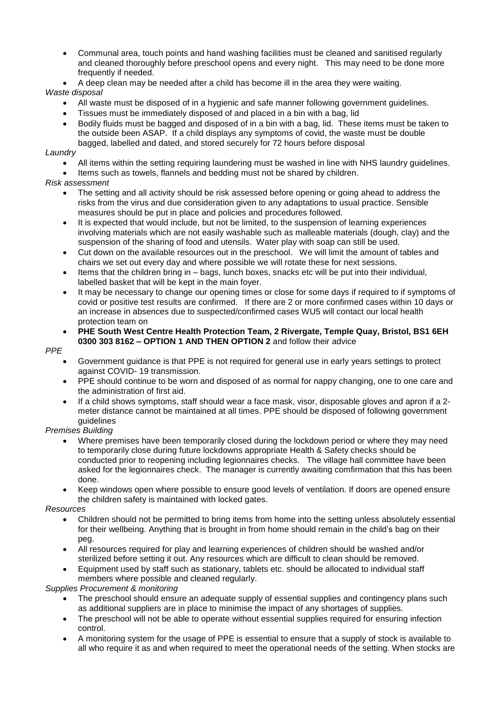- Communal area, touch points and hand washing facilities must be cleaned and sanitised regularly and cleaned thoroughly before preschool opens and every night. This may need to be done more frequently if needed.
- A deep clean may be needed after a child has become ill in the area they were waiting.

## *Waste disposal*

- All waste must be disposed of in a hygienic and safe manner following government guidelines.
- Tissues must be immediately disposed of and placed in a bin with a bag, lid
- Bodily fluids must be bagged and disposed of in a bin with a bag, lid. These items must be taken to the outside been ASAP. If a child displays any symptoms of covid, the waste must be double bagged, labelled and dated, and stored securely for 72 hours before disposal

### *Laundry*

- All items within the setting requiring laundering must be washed in line with NHS laundry guidelines.
- Items such as towels, flannels and bedding must not be shared by children.

## *Risk assessment*

- The setting and all activity should be risk assessed before opening or going ahead to address the risks from the virus and due consideration given to any adaptations to usual practice. Sensible measures should be put in place and policies and procedures followed.
- It is expected that would include, but not be limited, to the suspension of learning experiences involving materials which are not easily washable such as malleable materials (dough, clay) and the suspension of the sharing of food and utensils. Water play with soap can still be used.
- Cut down on the available resources out in the preschool. We will limit the amount of tables and chairs we set out every day and where possible we will rotate these for next sessions.
- Items that the children bring in bags, lunch boxes, snacks etc will be put into their individual, labelled basket that will be kept in the main foyer.
- It may be necessary to change our opening times or close for some days if required to if symptoms of covid or positive test results are confirmed. If there are 2 or more confirmed cases within 10 days or an increase in absences due to suspected/confirmed cases WU5 will contact our local health protection team on
- **PHE South West Centre Health Protection Team, 2 Rivergate, Temple Quay, Bristol, BS1 6EH 0300 303 8162 – OPTION 1 AND THEN OPTION 2** and follow their advice

### *PPE*

- Government guidance is that PPE is not required for general use in early years settings to protect against COVID- 19 transmission.
- PPE should continue to be worn and disposed of as normal for nappy changing, one to one care and the administration of first aid.
- If a child shows symptoms, staff should wear a face mask, visor, disposable gloves and apron if a 2meter distance cannot be maintained at all times. PPE should be disposed of following government guidelines

## *Premises Building*

- Where premises have been temporarily closed during the lockdown period or where they may need to temporarily close during future lockdowns appropriate Health & Safety checks should be conducted prior to reopening including legionnaires checks. The village hall committee have been asked for the legionnaires check. The manager is currently awaiting comfirmation that this has been done.
- Keep windows open where possible to ensure good levels of ventilation. If doors are opened ensure the children safety is maintained with locked gates.

## *Resources*

- Children should not be permitted to bring items from home into the setting unless absolutely essential for their wellbeing. Anything that is brought in from home should remain in the child's bag on their peg.
- All resources required for play and learning experiences of children should be washed and/or sterilized before setting it out. Any resources which are difficult to clean should be removed.
- Equipment used by staff such as stationary, tablets etc. should be allocated to individual staff members where possible and cleaned regularly.

*Supplies Procurement & monitoring*

- The preschool should ensure an adequate supply of essential supplies and contingency plans such as additional suppliers are in place to minimise the impact of any shortages of supplies.
- The preschool will not be able to operate without essential supplies required for ensuring infection control.
- A monitoring system for the usage of PPE is essential to ensure that a supply of stock is available to all who require it as and when required to meet the operational needs of the setting. When stocks are